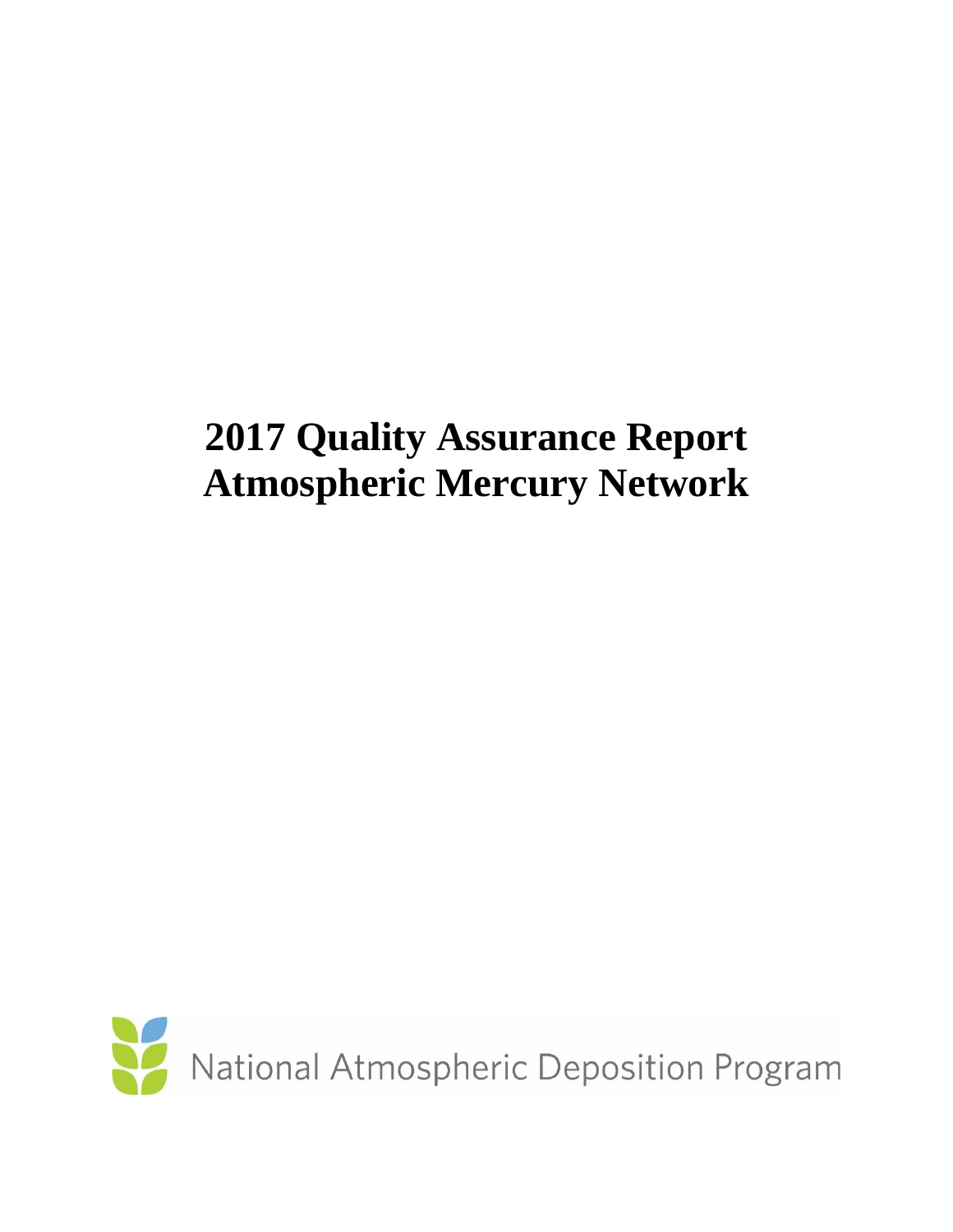# **2017 Quality Assurance Report Atmospheric Mercury Network**

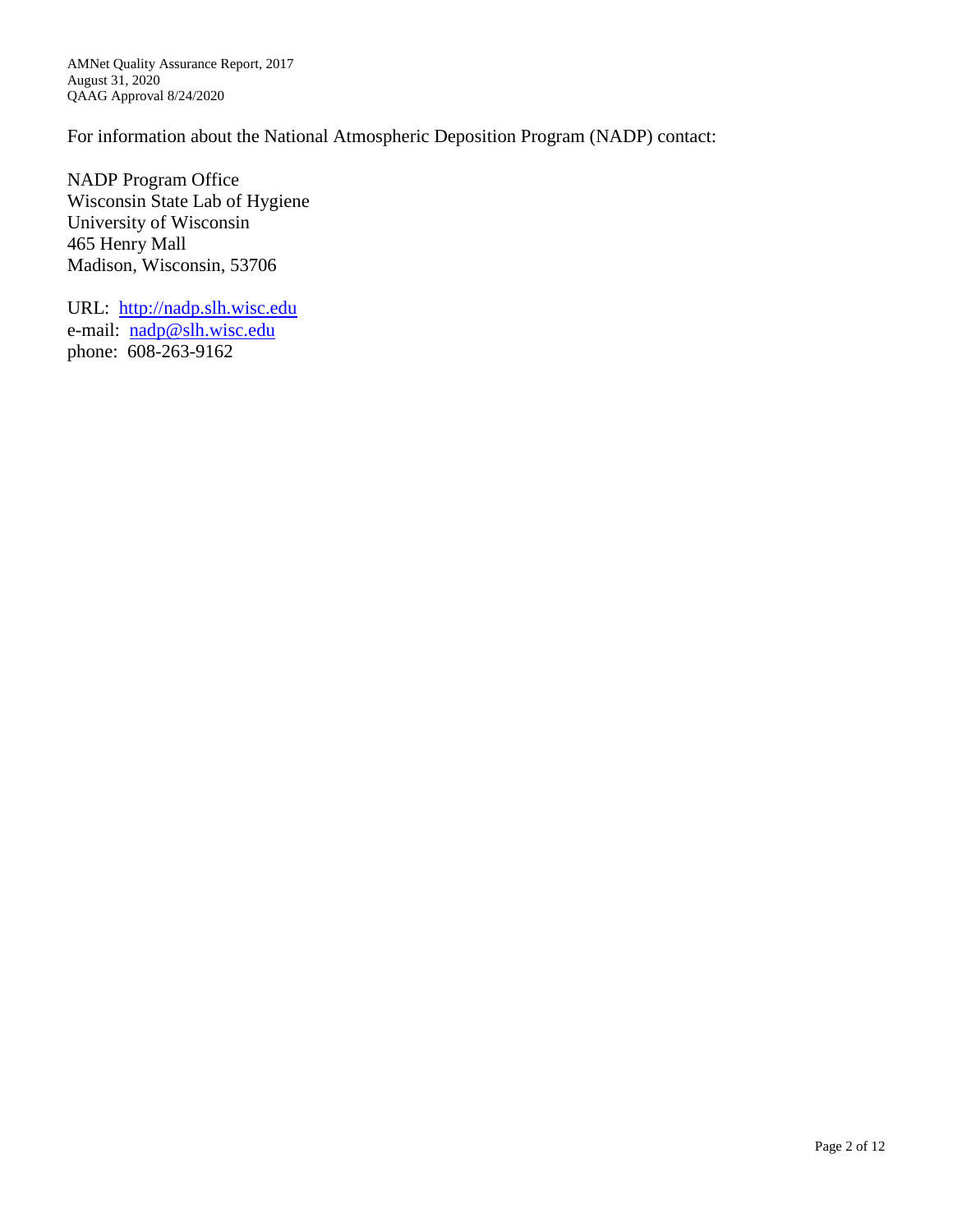AMNet Quality Assurance Report, 2017 August 31, 2020 QAAG Approval 8/24/2020

For information about the National Atmospheric Deposition Program (NADP) contact:

NADP Program Office Wisconsin State Lab of Hygiene University of Wisconsin 465 Henry Mall Madison, Wisconsin, 53706

URL: [http://nadp.slh.wisc.edu](http://nadp.slh.wisc.edu/) e-mail: [nadp@slh.wisc.edu](mailto:nadp@slh.wisc.edu) phone: 608-263-9162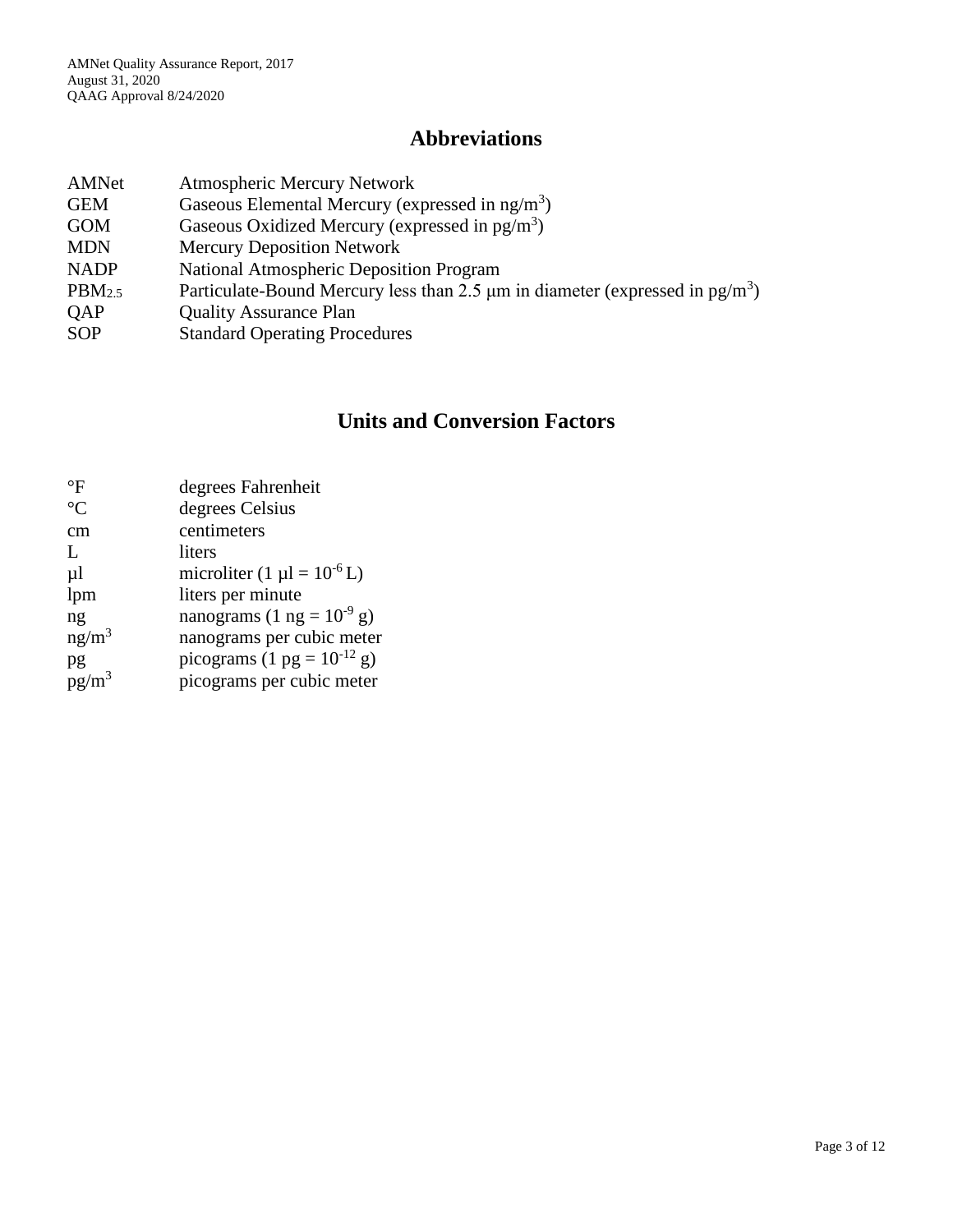## **Abbreviations**

| AMNet              | <b>Atmospheric Mercury Network</b>                                                            |
|--------------------|-----------------------------------------------------------------------------------------------|
| <b>GEM</b>         | Gaseous Elemental Mercury (expressed in $ng/m3$ )                                             |
| <b>GOM</b>         | Gaseous Oxidized Mercury (expressed in $pg/m^3$ )                                             |
| <b>MDN</b>         | <b>Mercury Deposition Network</b>                                                             |
| <b>NADP</b>        | <b>National Atmospheric Deposition Program</b>                                                |
| PBM <sub>2.5</sub> | Particulate-Bound Mercury less than 2.5 $\mu$ m in diameter (expressed in pg/m <sup>3</sup> ) |
| <b>OAP</b>         | <b>Quality Assurance Plan</b>                                                                 |
| <b>SOP</b>         | <b>Standard Operating Procedures</b>                                                          |

# **Units and Conversion Factors**

| $\rm ^{\circ}F$   | degrees Fahrenheit                 |
|-------------------|------------------------------------|
| $\rm ^{\circ}C$   | degrees Celsius                    |
| cm                | centimeters                        |
| $\mathbf{L}$      | liters                             |
| $\mu$             | microliter $(1 \mu l = 10^{-6} L)$ |
| lpm               | liters per minute                  |
| ng                | nanograms (1 ng = $10^{-9}$ g)     |
| ng/m <sup>3</sup> | nanograms per cubic meter          |
| pg                | picograms (1 pg = $10^{-12}$ g)    |
| $pg/m^3$          | picograms per cubic meter          |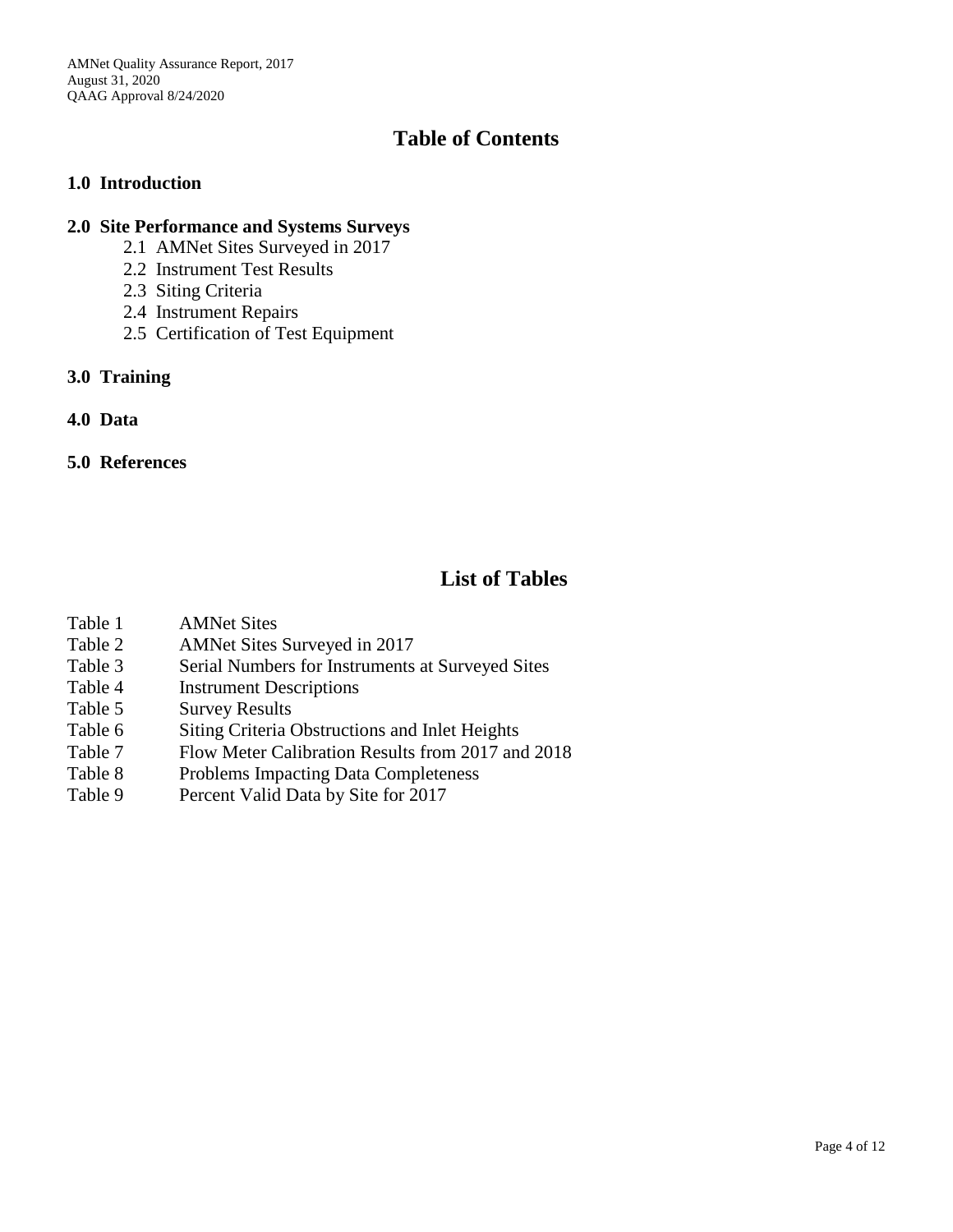AMNet Quality Assurance Report, 2017 August 31, 2020 QAAG Approval 8/24/2020

## **Table of Contents**

#### **1.0 Introduction**

#### **2.0 Site Performance and Systems Surveys**

- 2.1 AMNet Sites Surveyed in 2017
- 2.2 Instrument Test Results
- 2.3 Siting Criteria
- 2.4 Instrument Repairs
- 2.5 Certification of Test Equipment
- **3.0 Training**
- **4.0 Data**

#### **5.0 References**

#### **List of Tables**

- Table 1 AMNet Sites
- Table 2 AMNet Sites Surveyed in 2017
- Table 3 Serial Numbers for Instruments at Surveyed Sites
- Table 4 Instrument Descriptions
- Table 5 Survey Results
- Table 6 Siting Criteria Obstructions and Inlet Heights
- Table 7 Flow Meter Calibration Results from 2017 and 2018
- Table 8 Problems Impacting Data Completeness
- Table 9 Percent Valid Data by Site for 2017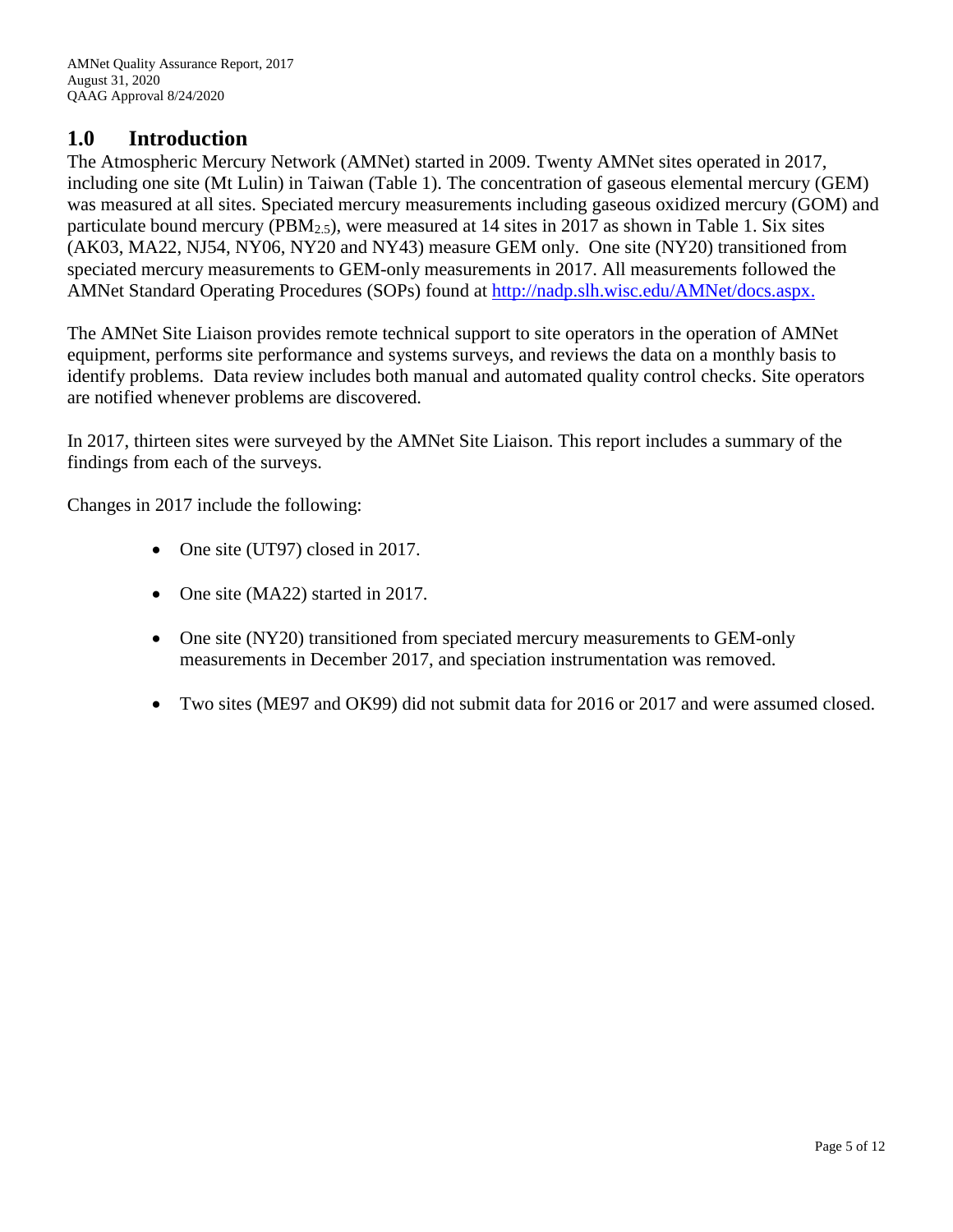#### **1.0 Introduction**

The Atmospheric Mercury Network (AMNet) started in 2009. Twenty AMNet sites operated in 2017, including one site (Mt Lulin) in Taiwan (Table 1). The concentration of gaseous elemental mercury (GEM) was measured at all sites. Speciated mercury measurements including gaseous oxidized mercury (GOM) and particulate bound mercury ( $\text{PBM}_{2.5}$ ), were measured at 14 sites in 2017 as shown in Table 1. Six sites (AK03, MA22, NJ54, NY06, NY20 and NY43) measure GEM only. One site (NY20) transitioned from speciated mercury measurements to GEM-only measurements in 2017. All measurements followed the AMNet Standard Operating Procedures (SOPs) found at [http://nadp.slh.wisc.edu/AMNet/docs.aspx.](http://nadp.slh.wisc.edu/AMNet/docs.aspx)

The AMNet Site Liaison provides remote technical support to site operators in the operation of AMNet equipment, performs site performance and systems surveys, and reviews the data on a monthly basis to identify problems. Data review includes both manual and automated quality control checks. Site operators are notified whenever problems are discovered.

In 2017, thirteen sites were surveyed by the AMNet Site Liaison. This report includes a summary of the findings from each of the surveys.

Changes in 2017 include the following:

- One site (UT97) closed in 2017.
- One site (MA22) started in 2017.
- One site (NY20) transitioned from speciated mercury measurements to GEM-only measurements in December 2017, and speciation instrumentation was removed.
- Two sites (ME97 and OK99) did not submit data for 2016 or 2017 and were assumed closed.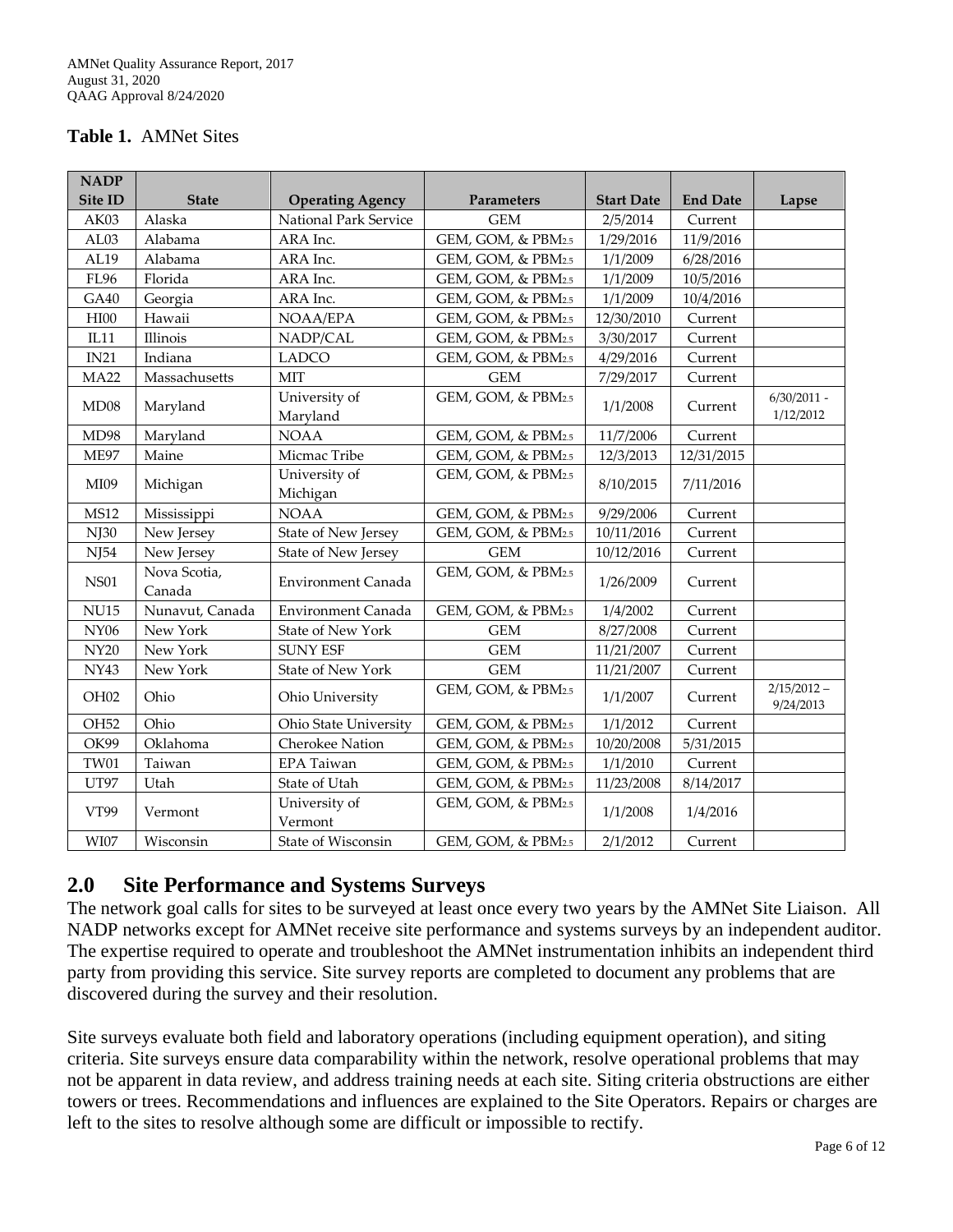#### **Table 1.** AMNet Sites

| <b>NADP</b>      |                        |                           |                    |                   |                 |                            |
|------------------|------------------------|---------------------------|--------------------|-------------------|-----------------|----------------------------|
| Site ID          | <b>State</b>           | <b>Operating Agency</b>   | Parameters         | <b>Start Date</b> | <b>End Date</b> | Lapse                      |
| AK03             | Alaska                 | National Park Service     | <b>GEM</b>         | 2/5/2014          | Current         |                            |
| AL03             | Alabama                | ARA Inc.                  | GEM, GOM, & PBM2.5 | 1/29/2016         | 11/9/2016       |                            |
| AL19             | Alabama                | ARA Inc.                  | GEM, GOM, & PBM2.5 | 1/1/2009          | 6/28/2016       |                            |
| <b>FL96</b>      | Florida                | ARA Inc.                  | GEM, GOM, & PBM2.5 | 1/1/2009          | 10/5/2016       |                            |
| GA40             | Georgia                | ARA Inc.                  | GEM, GOM, & PBM2.5 | 1/1/2009          | 10/4/2016       |                            |
| HIOO             | Hawaii                 | NOAA/EPA                  | GEM, GOM, & PBM2.5 | 12/30/2010        | Current         |                            |
| IL11             | Illinois               | NADP/CAL                  | GEM, GOM, & PBM2.5 | 3/30/2017         | Current         |                            |
| IN21             | Indiana                | <b>LADCO</b>              | GEM, GOM, & PBM2.5 | 4/29/2016         | Current         |                            |
| <b>MA22</b>      | Massachusetts          | <b>MIT</b>                | <b>GEM</b>         | 7/29/2017         | Current         |                            |
| MD08             | Maryland               | University of<br>Maryland | GEM, GOM, & PBM2.5 | 1/1/2008          | Current         | $6/30/2011$ -<br>1/12/2012 |
| MD98             | Maryland               | <b>NOAA</b>               | GEM, GOM, & PBM2.5 | 11/7/2006         | Current         |                            |
| <b>ME97</b>      | Maine                  | Micmac Tribe              | GEM, GOM, & PBM2.5 | 12/3/2013         | 12/31/2015      |                            |
| MI09             | Michigan               | University of<br>Michigan | GEM, GOM, & PBM2.5 | 8/10/2015         | 7/11/2016       |                            |
| <b>MS12</b>      | Mississippi            | <b>NOAA</b>               | GEM, GOM, & PBM2.5 | 9/29/2006         | Current         |                            |
| NJ30             | New Jersey             | State of New Jersey       | GEM, GOM, & PBM2.5 | 10/11/2016        | Current         |                            |
| NJ54             | New Jersey             | State of New Jersey       | <b>GEM</b>         | 10/12/2016        | Current         |                            |
| <b>NS01</b>      | Nova Scotia,<br>Canada | Environment Canada        | GEM, GOM, & PBM2.5 | 1/26/2009         | Current         |                            |
| <b>NU15</b>      | Nunavut, Canada        | Environment Canada        | GEM, GOM, & PBM2.5 | 1/4/2002          | Current         |                            |
| <b>NY06</b>      | New York               | <b>State of New York</b>  | <b>GEM</b>         | 8/27/2008         | Current         |                            |
| NY20             | New York               | <b>SUNY ESF</b>           | <b>GEM</b>         | 11/21/2007        | Current         |                            |
| <b>NY43</b>      | New York               | <b>State of New York</b>  | $\mbox{GEM}$       | 11/21/2007        | Current         |                            |
| OH <sub>02</sub> | Ohio                   | Ohio University           | GEM, GOM, & PBM2.5 | 1/1/2007          | Current         | $2/15/2012 -$<br>9/24/2013 |
| OH <sub>52</sub> | Ohio                   | Ohio State University     | GEM, GOM, & PBM2.5 | 1/1/2012          | Current         |                            |
| OK99             | Oklahoma               | <b>Cherokee Nation</b>    | GEM, GOM, & PBM2.5 | 10/20/2008        | 5/31/2015       |                            |
| <b>TW01</b>      | Taiwan                 | EPA Taiwan                | GEM, GOM, & PBM2.5 | 1/1/2010          | Current         |                            |
| UT97             | Utah                   | State of Utah             | GEM, GOM, & PBM2.5 | 11/23/2008        | 8/14/2017       |                            |
| VT99             | Vermont                | University of<br>Vermont  | GEM, GOM, & PBM2.5 | 1/1/2008          | 1/4/2016        |                            |
| $\rm W I07$      | Wisconsin              | State of Wisconsin        | GEM, GOM, & PBM2.5 | 2/1/2012          | Current         |                            |

#### **2.0 Site Performance and Systems Surveys**

The network goal calls for sites to be surveyed at least once every two years by the AMNet Site Liaison. All NADP networks except for AMNet receive site performance and systems surveys by an independent auditor. The expertise required to operate and troubleshoot the AMNet instrumentation inhibits an independent third party from providing this service. Site survey reports are completed to document any problems that are discovered during the survey and their resolution.

Site surveys evaluate both field and laboratory operations (including equipment operation), and siting criteria. Site surveys ensure data comparability within the network, resolve operational problems that may not be apparent in data review, and address training needs at each site. Siting criteria obstructions are either towers or trees. Recommendations and influences are explained to the Site Operators. Repairs or charges are left to the sites to resolve although some are difficult or impossible to rectify.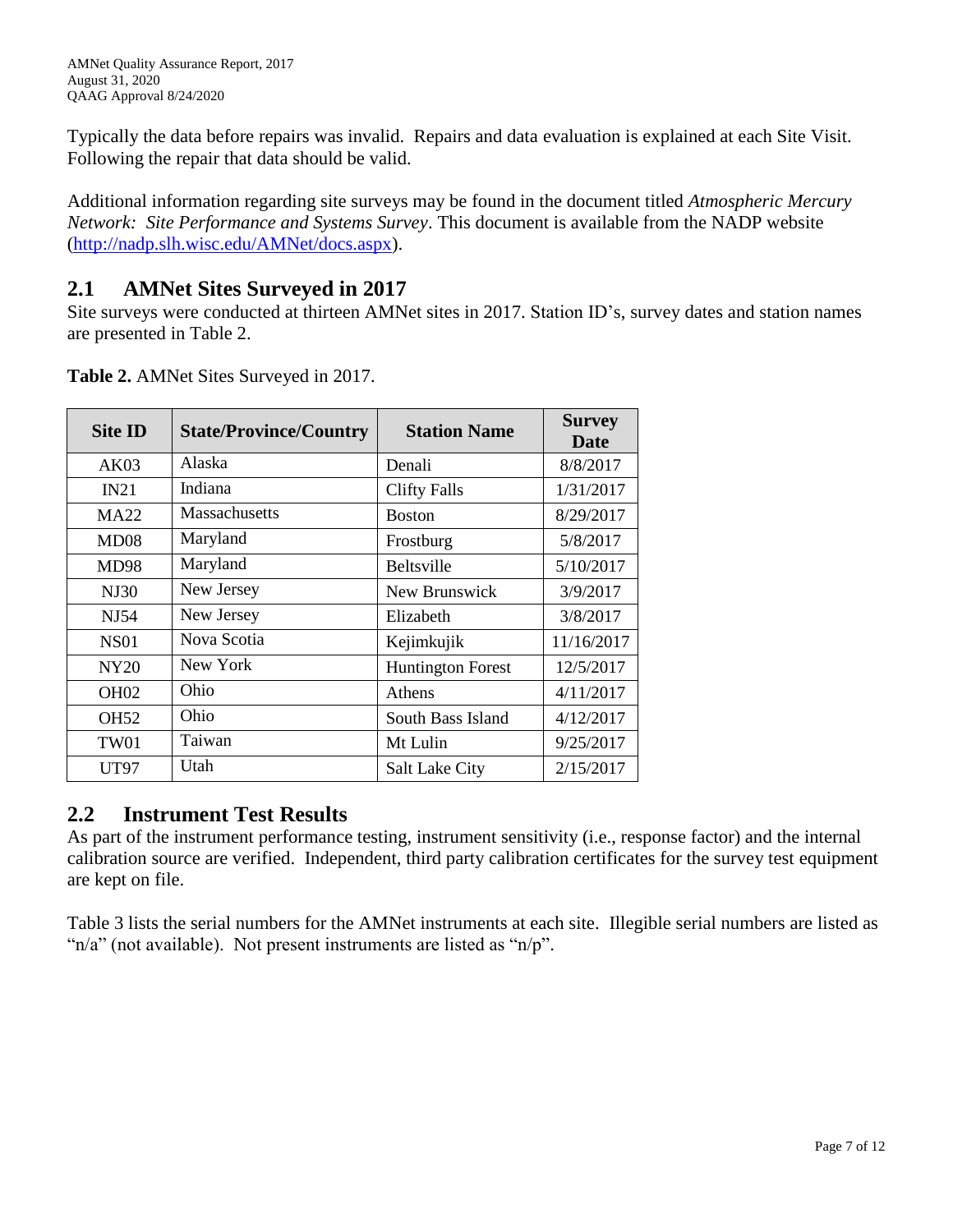Typically the data before repairs was invalid. Repairs and data evaluation is explained at each Site Visit. Following the repair that data should be valid.

Additional information regarding site surveys may be found in the document titled *Atmospheric Mercury Network: Site Performance and Systems Survey*. This document is available from the NADP website [\(http://nadp.slh.wisc.edu/AMNet/docs.aspx\)](http://nadp.slh.wisc.edu/AMNet/docs.aspx).

## **2.1 AMNet Sites Surveyed in 2017**

Site surveys were conducted at thirteen AMNet sites in 2017. Station ID's, survey dates and station names are presented in Table 2.

| <b>Site ID</b>   | <b>State/Province/Country</b> | <b>Station Name</b>      | <b>Survey</b><br>Date |
|------------------|-------------------------------|--------------------------|-----------------------|
| AK03             | Alaska                        | Denali                   | 8/8/2017              |
| IN21             | Indiana                       | <b>Clifty Falls</b>      | 1/31/2017             |
| <b>MA22</b>      | Massachusetts                 | <b>Boston</b>            | 8/29/2017             |
| MD08             | Maryland                      | Frostburg                | 5/8/2017              |
| <b>MD98</b>      | Maryland                      | <b>Beltsville</b>        | 5/10/2017             |
| <b>NJ30</b>      | New Jersey                    | New Brunswick            | 3/9/2017              |
| NJ54             | New Jersey                    | Elizabeth                | 3/8/2017              |
| <b>NS01</b>      | Nova Scotia                   | Kejimkujik               | 11/16/2017            |
| NY20             | New York                      | <b>Huntington Forest</b> | 12/5/2017             |
| OH <sub>02</sub> | Ohio                          | Athens                   | 4/11/2017             |
| OH <sub>52</sub> | Ohio                          | South Bass Island        | 4/12/2017             |
| TW <sub>01</sub> | Taiwan                        | Mt Lulin                 | 9/25/2017             |
| UT97             | Utah                          | <b>Salt Lake City</b>    | 2/15/2017             |

**Table 2.** AMNet Sites Surveyed in 2017.

## **2.2 Instrument Test Results**

As part of the instrument performance testing, instrument sensitivity (i.e., response factor) and the internal calibration source are verified. Independent, third party calibration certificates for the survey test equipment are kept on file.

Table 3 lists the serial numbers for the AMNet instruments at each site. Illegible serial numbers are listed as " $n/a$ " (not available). Not present instruments are listed as " $n/p$ ".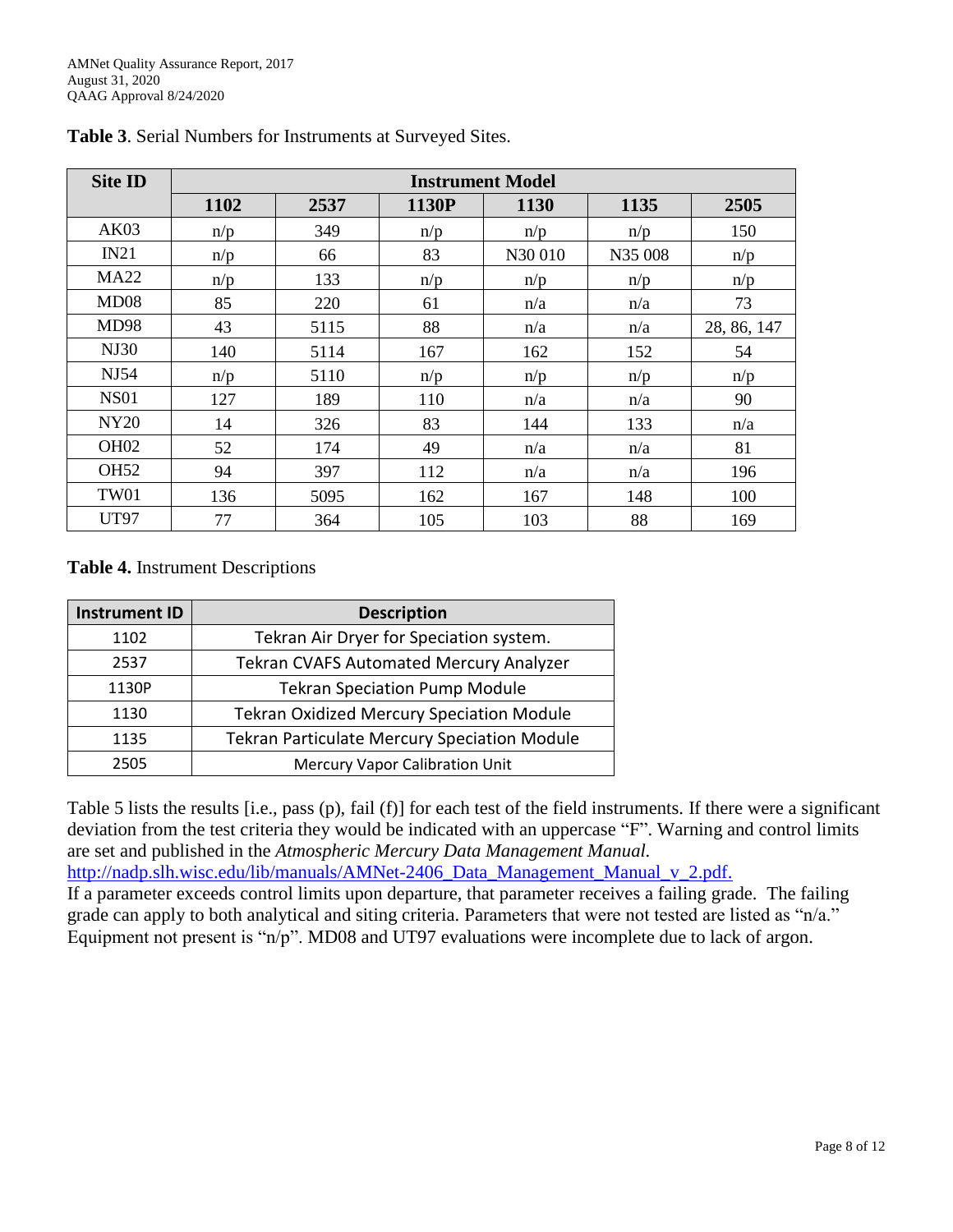| <b>Site ID</b>   | <b>Instrument Model</b> |      |       |        |         |             |  |  |
|------------------|-------------------------|------|-------|--------|---------|-------------|--|--|
|                  | 1102                    | 2537 | 1130P | 1130   | 1135    | 2505        |  |  |
| AK03             | n/p                     | 349  | n/p   | n/p    | n/p     | 150         |  |  |
| IN21             | n/p                     | 66   | 83    | N30010 | N35 008 | n/p         |  |  |
| <b>MA22</b>      | n/p                     | 133  | n/p   | n/p    | n/p     | n/p         |  |  |
| MD08             | 85                      | 220  | 61    | n/a    | n/a     | 73          |  |  |
| <b>MD98</b>      | 43                      | 5115 | 88    | n/a    | n/a     | 28, 86, 147 |  |  |
| NJ30             | 140                     | 5114 | 167   | 162    | 152     | 54          |  |  |
| NJ54             | n/p                     | 5110 | n/p   | n/p    | n/p     | n/p         |  |  |
| <b>NS01</b>      | 127                     | 189  | 110   | n/a    | n/a     | 90          |  |  |
| <b>NY20</b>      | 14                      | 326  | 83    | 144    | 133     | n/a         |  |  |
| OH <sub>02</sub> | 52                      | 174  | 49    | n/a    | n/a     | 81          |  |  |
| <b>OH52</b>      | 94                      | 397  | 112   | n/a    | n/a     | 196         |  |  |
| <b>TW01</b>      | 136                     | 5095 | 162   | 167    | 148     | 100         |  |  |
| <b>UT97</b>      | 77                      | 364  | 105   | 103    | 88      | 169         |  |  |

**Table 3**. Serial Numbers for Instruments at Surveyed Sites.

#### **Table 4.** Instrument Descriptions

| <b>Instrument ID</b> | <b>Description</b>                                  |
|----------------------|-----------------------------------------------------|
| 1102                 | Tekran Air Dryer for Speciation system.             |
| 2537                 | <b>Tekran CVAFS Automated Mercury Analyzer</b>      |
| 1130P                | <b>Tekran Speciation Pump Module</b>                |
| 1130                 | <b>Tekran Oxidized Mercury Speciation Module</b>    |
| 1135                 | <b>Tekran Particulate Mercury Speciation Module</b> |
| 2505                 | <b>Mercury Vapor Calibration Unit</b>               |

Table 5 lists the results [i.e., pass (p), fail (f)] for each test of the field instruments. If there were a significant deviation from the test criteria they would be indicated with an uppercase "F". Warning and control limits are set and published in the *Atmospheric Mercury Data Management Manual.*

[http://nadp.slh.wisc.edu/lib/manuals/AMNet-2406\\_Data\\_Management\\_Manual\\_v\\_2.pdf.](http://nadp.slh.wisc.edu/lib/manuals/AMNet-2406_Data_Management_Manual_v_2.pdf)

If a parameter exceeds control limits upon departure, that parameter receives a failing grade. The failing grade can apply to both analytical and siting criteria. Parameters that were not tested are listed as "n/a." Equipment not present is "n/p". MD08 and UT97 evaluations were incomplete due to lack of argon.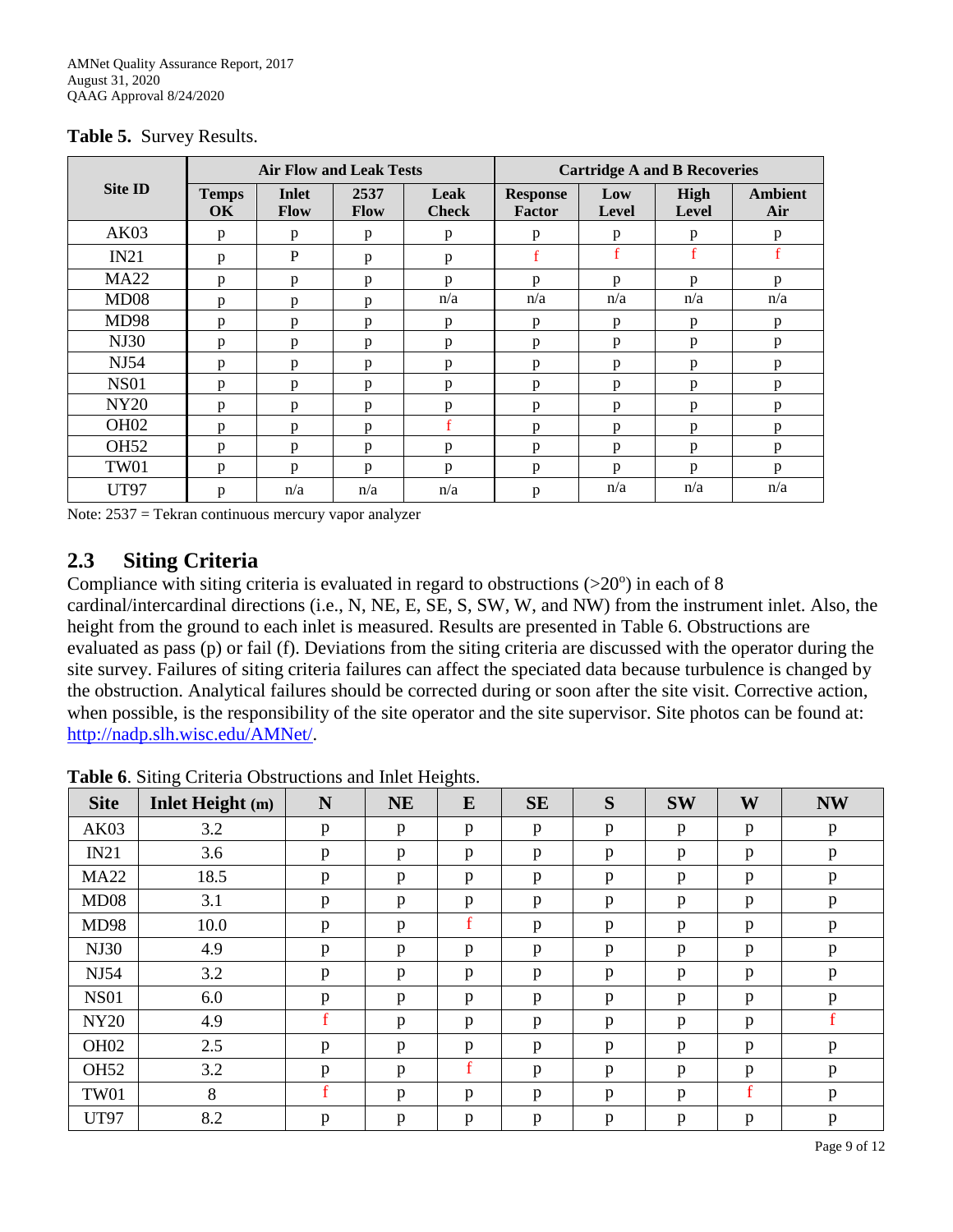|                  | <b>Air Flow and Leak Tests</b> |                      |              |                      | <b>Cartridge A and B Recoveries</b> |                     |                      |                       |
|------------------|--------------------------------|----------------------|--------------|----------------------|-------------------------------------|---------------------|----------------------|-----------------------|
| <b>Site ID</b>   | <b>Temps</b><br><b>OK</b>      | <b>Inlet</b><br>Flow | 2537<br>Flow | Leak<br><b>Check</b> | <b>Response</b><br><b>Factor</b>    | Low<br><b>Level</b> | High<br><b>Level</b> | <b>Ambient</b><br>Air |
| AK03             | p                              | p                    | p            | p                    | p                                   | p                   | p                    | p                     |
| IN21             | p                              | P                    | p            | p                    | $\mathbf f$                         | $f_{\rm}$           | $\mathbf f$          | $\mathbf f$           |
| <b>MA22</b>      | p                              | p                    | p            | $\mathbf{D}$         | p                                   | p                   | p                    | p                     |
| MD08             | p                              | p                    | p            | n/a                  | n/a                                 | n/a                 | n/a                  | n/a                   |
| <b>MD98</b>      | p                              | p                    | p            | p                    | p                                   | p                   | p                    | p                     |
| <b>NJ30</b>      | p                              | p                    | p            | p                    | p                                   | p                   | p                    | p                     |
| NJ54             | p                              | p                    | p            | p                    | p                                   | p                   | p                    | p                     |
| <b>NS01</b>      | p                              | p                    | p            | p                    | p                                   | p                   | p                    | p                     |
| <b>NY20</b>      | p                              | p                    | p            | $\mathbf{D}$         | p                                   | p                   | p                    | p                     |
| OH <sub>02</sub> | p                              | p                    | p            | $\mathbf f$          | p                                   | p                   | p                    | p                     |
| <b>OH52</b>      | p                              | p                    | p            | p                    | p                                   | p                   | p                    | p                     |
| <b>TW01</b>      | p                              | p                    | p            | p                    | p                                   | p                   | p                    | p                     |
| <b>UT97</b>      | p                              | n/a                  | n/a          | n/a                  | p                                   | n/a                 | n/a                  | n/a                   |

**Table 5.** Survey Results.

Note: 2537 = Tekran continuous mercury vapor analyzer

#### **2.3 Siting Criteria**

Compliance with siting criteria is evaluated in regard to obstructions  $(>20^{\circ})$  in each of 8 cardinal/intercardinal directions (i.e., N, NE, E, SE, S, SW, W, and NW) from the instrument inlet. Also, the height from the ground to each inlet is measured. Results are presented in Table 6. Obstructions are evaluated as pass (p) or fail (f). Deviations from the siting criteria are discussed with the operator during the site survey. Failures of siting criteria failures can affect the speciated data because turbulence is changed by the obstruction. Analytical failures should be corrected during or soon after the site visit. Corrective action, when possible, is the responsibility of the site operator and the site supervisor. Site photos can be found at: [http://nadp.slh.wisc.edu/AMNet/.](http://nadp.slh.wisc.edu/AMNet/)

| <b>Site</b>      | Inlet Height (m) | N           | <b>NE</b>    | E           | <b>SE</b> | S            | <b>SW</b> | W            | <b>NW</b>   |
|------------------|------------------|-------------|--------------|-------------|-----------|--------------|-----------|--------------|-------------|
| AK03             | 3.2              | p           | p            | p           | p         | p            | p         | $\mathbf{p}$ | p           |
| IN21             | 3.6              | p           | p            | p           | p         | $\mathbf{p}$ | p         | p            | p           |
| <b>MA22</b>      | 18.5             | p           | p            | p           | p         | p            | p         | p            | p           |
| MD08             | 3.1              | p           | p            | p           | p         | p            | p         | p            | p           |
| <b>MD98</b>      | 10.0             | p           | p            | $\mathbf f$ | p         | $\mathbf{p}$ | p         | $\mathbf{p}$ | p           |
| <b>NJ30</b>      | 4.9              | p           | $\, {\bf p}$ | p           | p         | $\mathbf{p}$ | p         | $\mathbf{p}$ | p           |
| NJ54             | 3.2              | p           | p            | p           | p         | p            | p         | p            | p           |
| <b>NS01</b>      | 6.0              | p           | p            | p           | p         | p            | p         | p            | p           |
| <b>NY20</b>      | 4.9              | $\mathbf f$ | p            | p           | p         | $\mathbf{p}$ | p         | $\mathbf{p}$ | $\mathbf f$ |
| OH <sub>02</sub> | 2.5              | p           | p            | p           | p         | p            | p         | p            | p           |
| <b>OH52</b>      | 3.2              | p           | p            | $\mathbf f$ | p         | p            | p         | p            | p           |
| <b>TW01</b>      | 8                | f           | p            | p           | p         | p            | p         | f            | p           |
| <b>UT97</b>      | 8.2              | p           | p            | p           | p         | $\mathbf{p}$ | p         | $\mathbf{p}$ | p           |

**Table 6**. Siting Criteria Obstructions and Inlet Heights.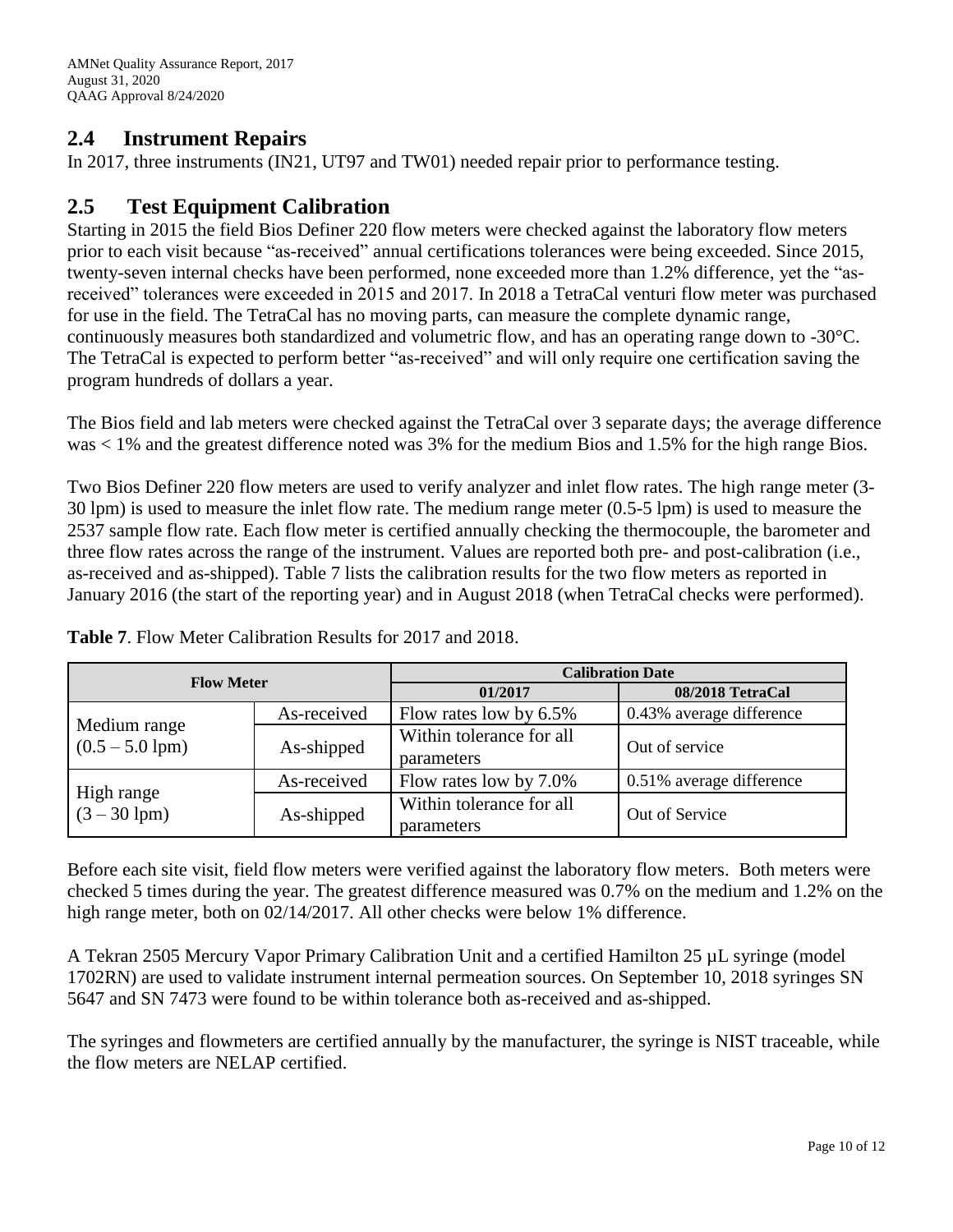## **2.4 Instrument Repairs**

In 2017, three instruments (IN21, UT97 and TW01) needed repair prior to performance testing.

#### **2.5 Test Equipment Calibration**

Starting in 2015 the field Bios Definer 220 flow meters were checked against the laboratory flow meters prior to each visit because "as-received" annual certifications tolerances were being exceeded. Since 2015, twenty-seven internal checks have been performed, none exceeded more than 1.2% difference, yet the "asreceived" tolerances were exceeded in 2015 and 2017. In 2018 a TetraCal venturi flow meter was purchased for use in the field. The TetraCal has no moving parts, can measure the complete dynamic range, continuously measures both standardized and volumetric flow, and has an operating range down to -30°C. The TetraCal is expected to perform better "as-received" and will only require one certification saving the program hundreds of dollars a year.

The Bios field and lab meters were checked against the TetraCal over 3 separate days; the average difference was < 1% and the greatest difference noted was 3% for the medium Bios and 1.5% for the high range Bios.

Two Bios Definer 220 flow meters are used to verify analyzer and inlet flow rates. The high range meter (3- 30 lpm) is used to measure the inlet flow rate. The medium range meter (0.5-5 lpm) is used to measure the 2537 sample flow rate. Each flow meter is certified annually checking the thermocouple, the barometer and three flow rates across the range of the instrument. Values are reported both pre- and post-calibration (i.e., as-received and as-shipped). Table 7 lists the calibration results for the two flow meters as reported in January 2016 (the start of the reporting year) and in August 2018 (when TetraCal checks were performed).

| <b>Flow Meter</b>                 |             | <b>Calibration Date</b>                |                          |  |  |
|-----------------------------------|-------------|----------------------------------------|--------------------------|--|--|
|                                   |             | 01/2017                                | 08/2018 TetraCal         |  |  |
|                                   | As-received | Flow rates low by 6.5%                 | 0.43% average difference |  |  |
| Medium range<br>$(0.5 - 5.0$ lpm) | As-shipped  | Within tolerance for all<br>parameters | Out of service           |  |  |
|                                   | As-received | Flow rates low by 7.0%                 | 0.51% average difference |  |  |
| High range<br>$(3 - 30$ lpm)      | As-shipped  | Within tolerance for all<br>parameters | Out of Service           |  |  |

**Table 7**. Flow Meter Calibration Results for 2017 and 2018.

Before each site visit, field flow meters were verified against the laboratory flow meters. Both meters were checked 5 times during the year. The greatest difference measured was 0.7% on the medium and 1.2% on the high range meter, both on 02/14/2017. All other checks were below 1% difference.

A Tekran 2505 Mercury Vapor Primary Calibration Unit and a certified Hamilton 25 µL syringe (model 1702RN) are used to validate instrument internal permeation sources. On September 10, 2018 syringes SN 5647 and SN 7473 were found to be within tolerance both as-received and as-shipped.

The syringes and flowmeters are certified annually by the manufacturer, the syringe is NIST traceable, while the flow meters are NELAP certified.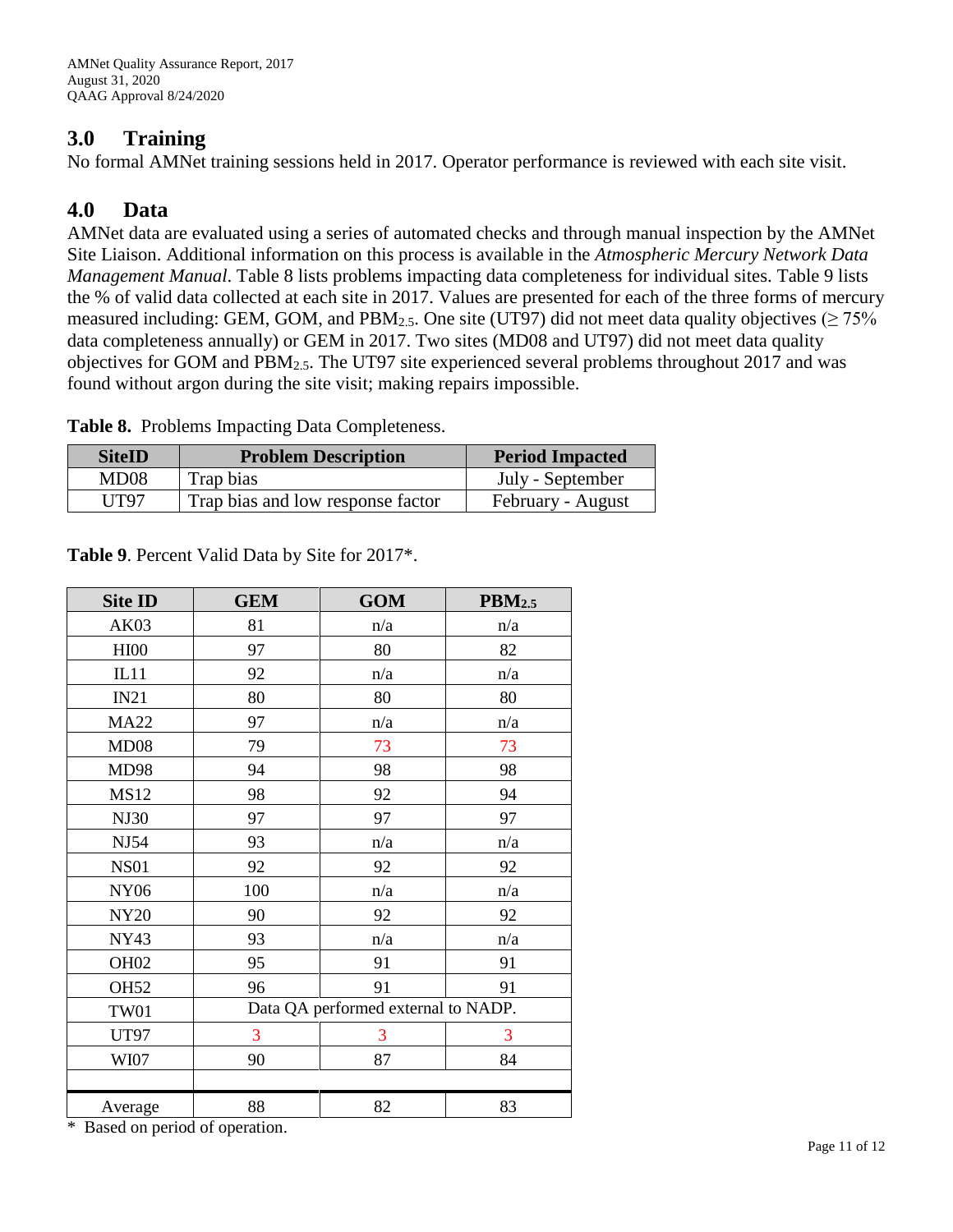#### **3.0 Training**

No formal AMNet training sessions held in 2017. Operator performance is reviewed with each site visit.

## **4.0 Data**

AMNet data are evaluated using a series of automated checks and through manual inspection by the AMNet Site Liaison. Additional information on this process is available in the *Atmospheric Mercury Network Data Management Manual*. Table 8 lists problems impacting data completeness for individual sites. Table 9 lists the % of valid data collected at each site in 2017. Values are presented for each of the three forms of mercury measured including: GEM, GOM, and PBM<sub>2.5</sub>. One site (UT97) did not meet data quality objectives ( $\geq$  75% data completeness annually) or GEM in 2017. Two sites (MD08 and UT97) did not meet data quality objectives for GOM and PBM2.5. The UT97 site experienced several problems throughout 2017 and was found without argon during the site visit; making repairs impossible.

|  |  | Table 8. Problems Impacting Data Completeness. |  |  |
|--|--|------------------------------------------------|--|--|
|--|--|------------------------------------------------|--|--|

| <b>SiteID</b>    | <b>Problem Description</b>        | <b>Period Impacted</b> |
|------------------|-----------------------------------|------------------------|
| MD <sub>08</sub> | Trap bias                         | July - September       |
| UT97             | Trap bias and low response factor | February - August      |

| <b>Site ID</b>                               | <b>GEM</b> | <b>GOM</b>                          | $\text{PBM}_{2.5}$ |
|----------------------------------------------|------------|-------------------------------------|--------------------|
| AK03                                         | 81         | n/a                                 | n/a                |
| <b>HI00</b>                                  | 97         | 80                                  | 82                 |
| IL11                                         | 92         | n/a                                 | n/a                |
| IN21                                         | 80         | 80                                  | 80                 |
| <b>MA22</b>                                  | 97         | n/a                                 | n/a                |
| MD08                                         | 79         | 73                                  | 73                 |
| MD98                                         | 94         | 98                                  | 98                 |
| <b>MS12</b>                                  | 98         | 92                                  | 94                 |
| NJ30                                         | 97         | 97                                  | 97                 |
| NJ54                                         | 93         | n/a                                 | n/a                |
| <b>NS01</b>                                  | 92         | 92                                  | 92                 |
| <b>NY06</b>                                  | 100        | n/a                                 | n/a                |
| <b>NY20</b>                                  | 90         | 92                                  | 92                 |
| <b>NY43</b>                                  | 93         | n/a                                 | n/a                |
| OH <sub>02</sub>                             | 95         | 91                                  | 91                 |
| <b>OH52</b>                                  | 96         | 91                                  | 91                 |
| <b>TW01</b>                                  |            | Data QA performed external to NADP. |                    |
| <b>UT97</b>                                  | 3          | 3                                   | 3                  |
| WI07                                         | 90         | 87                                  | 84                 |
|                                              |            |                                     |                    |
| Average<br>$*$ Decod on newigd of convertion | 88         | 82                                  | 83                 |

**Table 9**. Percent Valid Data by Site for 2017\*.

Based on period of operation.